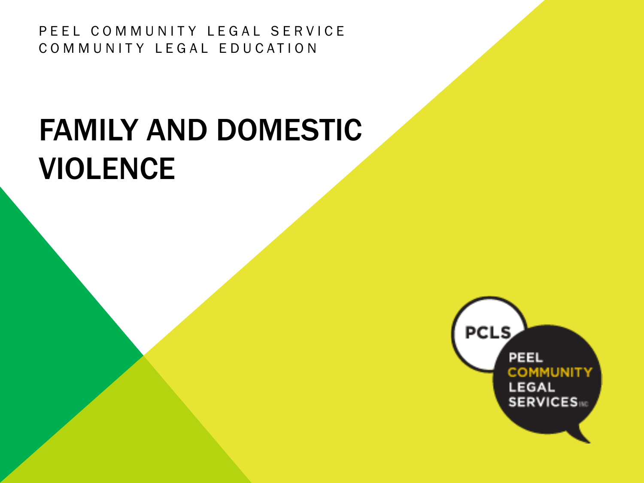PEEL COMMUNITY LEGAL SERVICE COMMUNITY LEGAL EDUCATION

# FAMILY AND DOMESTIC VIOLENCE

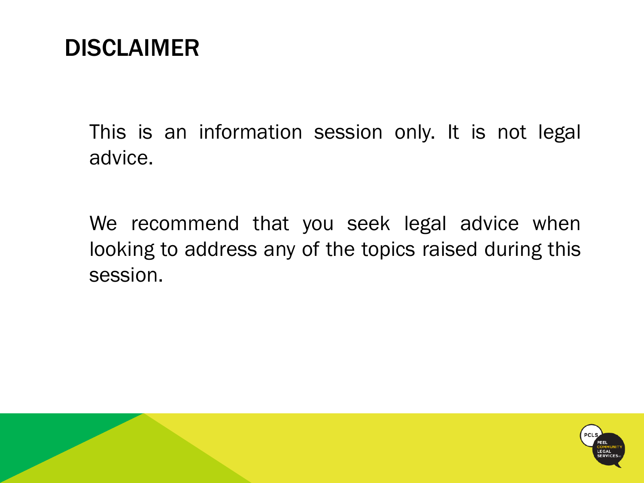### DISCLAIMER

This is an information session only. It is not legal advice.

We recommend that you seek legal advice when looking to address any of the topics raised during this session.

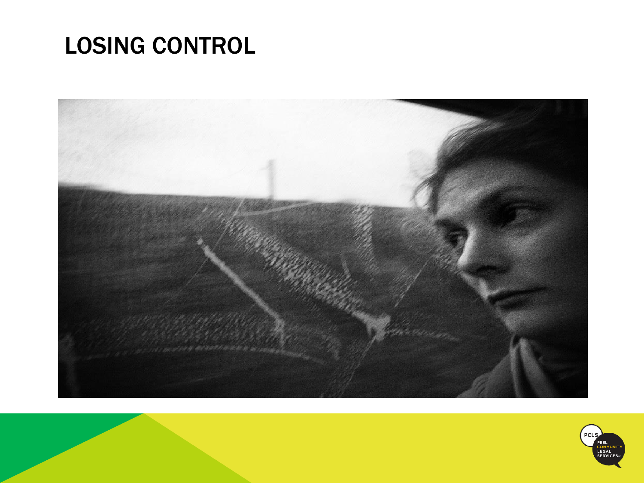# LOSING CONTROL



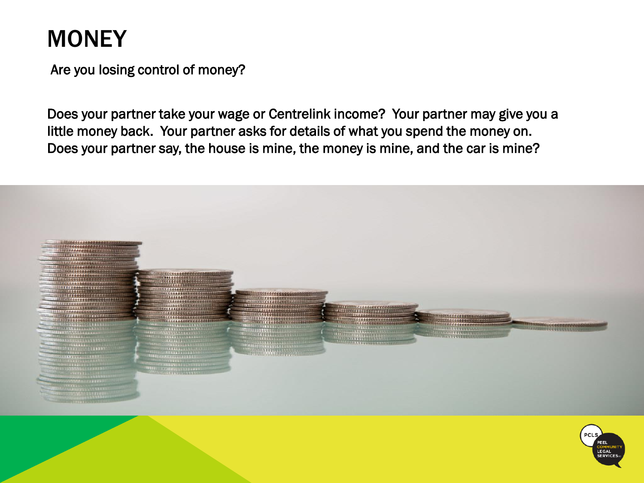# **MONEY**

Are you losing control of money?

Does your partner take your wage or Centrelink income? Your partner may give you a little money back. Your partner asks for details of what you spend the money on. Does your partner say, the house is mine, the money is mine, and the car is mine?



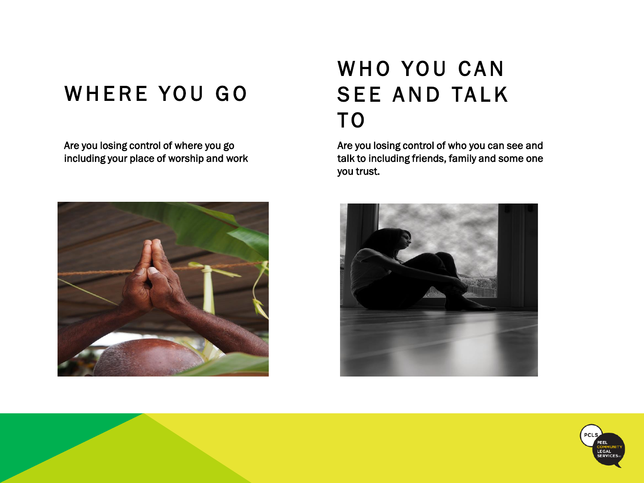### WHERE YOU GO

Are you losing control of where you go including your place of worship and work



### WHO YOU CAN **SEE AND TALK** T O

Are you losing control of who you can see and talk to including friends, family and some one you trust.



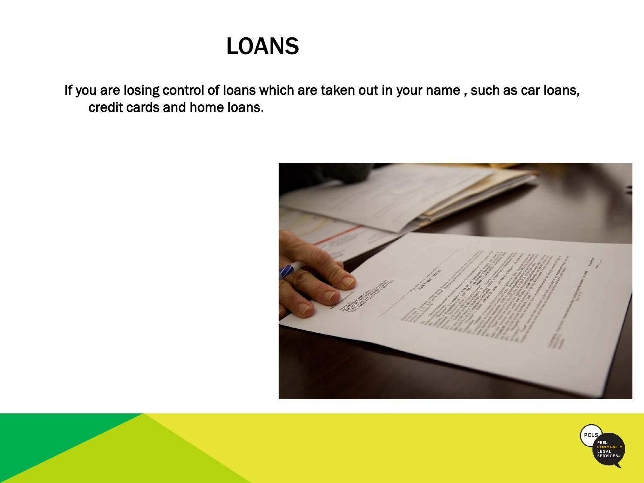### LOANS

If you are losing control of loans which are taken out in your name , such as car loans, credit cards and home loans.



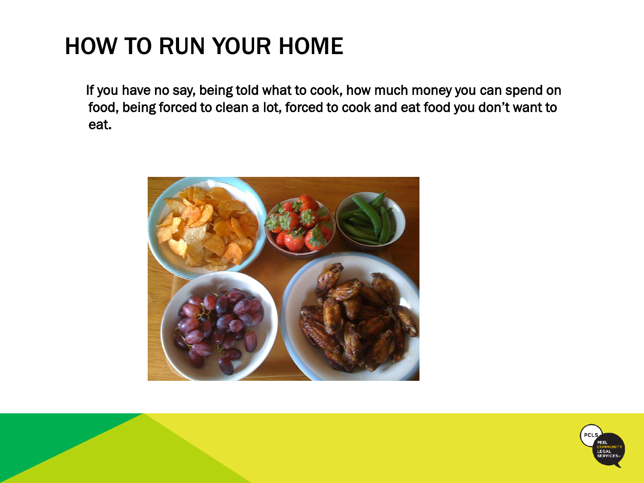# HOW TO RUN YOUR HOME

If you have no say, being told what to cook, how much money you can spend on food, being forced to clean a lot, forced to cook and eat food you don't want to eat.



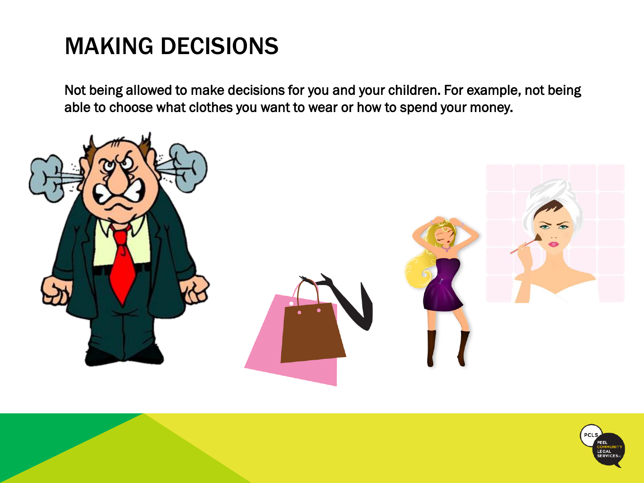# MAKING DECISIONS

Not being allowed to make decisions for you and your children. For example, not being able to choose what clothes you want to wear or how to spend your money.



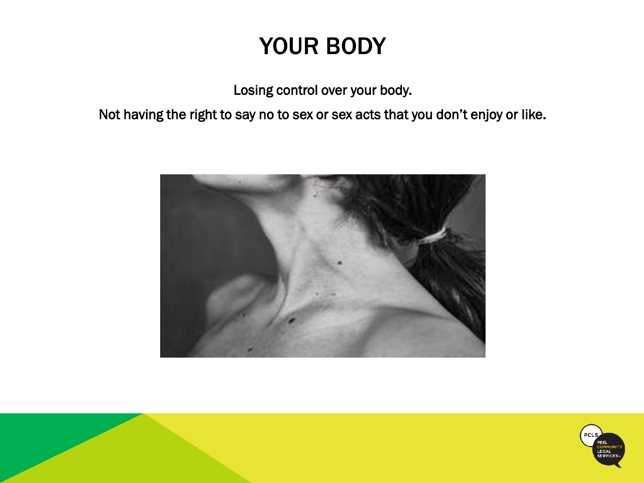# YOUR BODY

Losing control over your body.

Not having the right to say no to sex or sex acts that you don't enjoy or like.



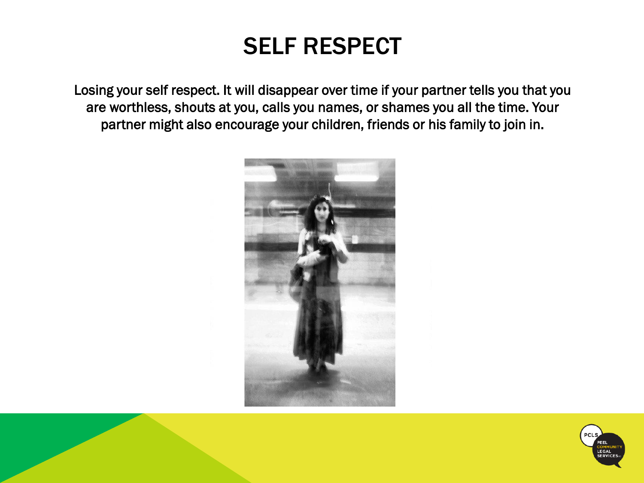### SELF RESPECT

Losing your self respect. It will disappear over time if your partner tells you that you are worthless, shouts at you, calls you names, or shames you all the time. Your partner might also encourage your children, friends or his family to join in.



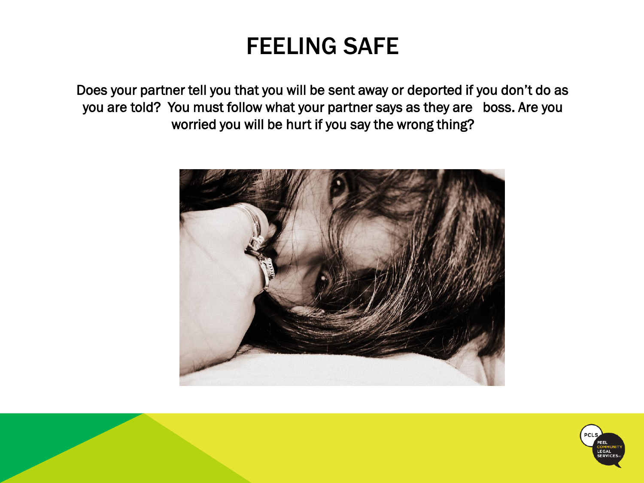### FEELING SAFE

Does your partner tell you that you will be sent away or deported if you don't do as you are told? You must follow what your partner says as they are boss. Are you worried you will be hurt if you say the wrong thing?



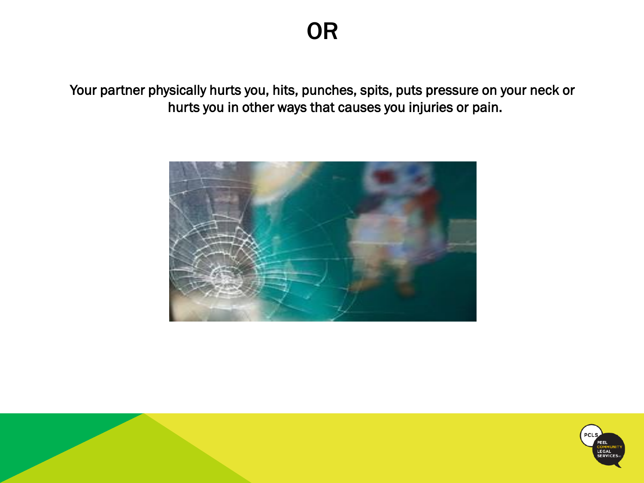Your partner physically hurts you, hits, punches, spits, puts pressure on your neck or hurts you in other ways that causes you injuries or pain.



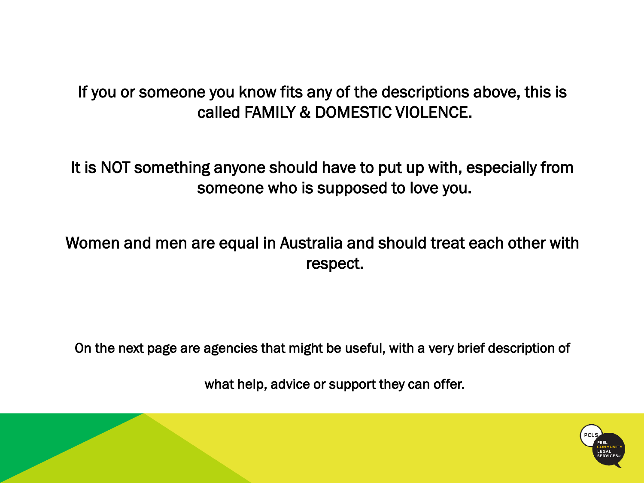#### If you or someone you know fits any of the descriptions above, this is called FAMILY & DOMESTIC VIOLENCE.

It is NOT something anyone should have to put up with, especially from someone who is supposed to love you.

#### Women and men are equal in Australia and should treat each other with respect.

On the next page are agencies that might be useful, with a very brief description of

what help, advice or support they can offer.

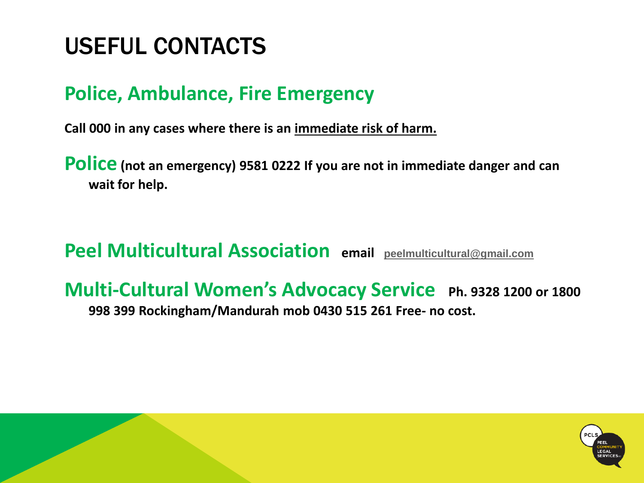# USEFUL CONTACTS

#### **Police, Ambulance, Fire Emergency**

**Call 000 in any cases where there is an immediate risk of harm.**

**Police (not an emergency) 9581 0222 If you are not in immediate danger and can wait for help.**

**Peel Multicultural Association email [peelmulticultural@gmail.com](mailto:peelmulticultural@gmail.com)**

#### **Multi-Cultural Women's Advocacy Service Ph. 9328 1200 or 1800 998 399 Rockingham/Mandurah mob 0430 515 261 Free- no cost.**

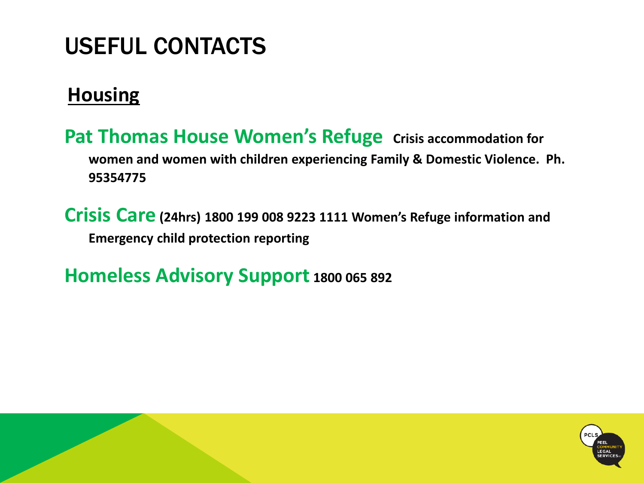# USEFUL CONTACTS

#### **Housing**

**Pat Thomas House Women's Refuge Crisis accommodation for women and women with children experiencing Family & Domestic Violence. Ph. 95354775**

**Crisis Care (24hrs) 1800 199 008 9223 1111 Women's Refuge information and Emergency child protection reporting**

**Homeless Advisory Support 1800 065 892**